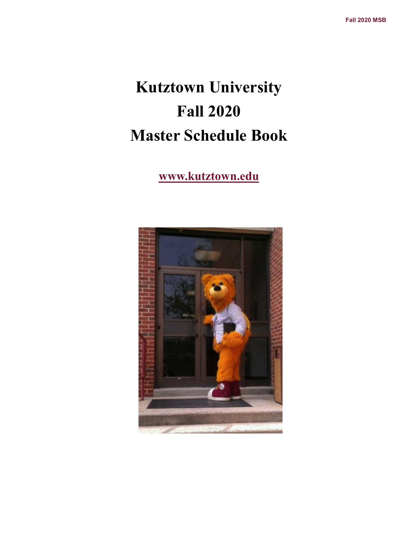# **Kutztown University Fall 2020 Master Schedule Book**

### **www.kutztown.edu**

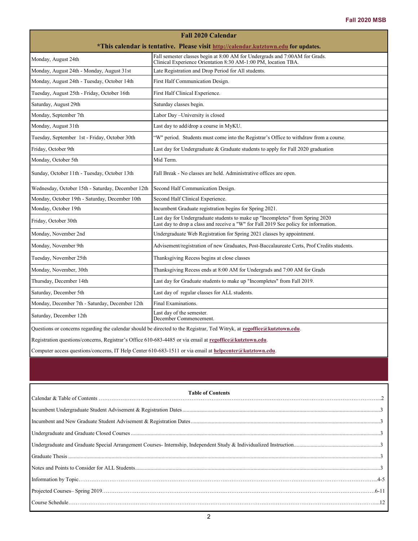| <b>Fall 2020 Calendar</b>                                                                                                                                            |                                                                                                                                                                       |  |  |  |  |
|----------------------------------------------------------------------------------------------------------------------------------------------------------------------|-----------------------------------------------------------------------------------------------------------------------------------------------------------------------|--|--|--|--|
| *This calendar is tentative. Please visit http://calendar.kutztown.edu for updates.                                                                                  |                                                                                                                                                                       |  |  |  |  |
| Fall semester classes begin at 8:00 AM for Undergrads and 7:00AM for Grads.<br>Monday, August 24th<br>Clinical Experience Orientation 8:30 AM-1:00 PM, location TBA. |                                                                                                                                                                       |  |  |  |  |
| Monday, August 24th - Monday, August 31st                                                                                                                            | Late Registration and Drop Period for All students.                                                                                                                   |  |  |  |  |
| Monday, August 24th - Tuesday, October 14th                                                                                                                          | First Half Communication Design.                                                                                                                                      |  |  |  |  |
| Tuesday, August 25th - Friday, October 16th                                                                                                                          | First Half Clinical Experience.                                                                                                                                       |  |  |  |  |
| Saturday, August 29th                                                                                                                                                | Saturday classes begin.                                                                                                                                               |  |  |  |  |
| Monday, September 7th                                                                                                                                                | Labor Day - University is closed                                                                                                                                      |  |  |  |  |
| Monday, August 31th                                                                                                                                                  | Last day to add/drop a course in MyKU.                                                                                                                                |  |  |  |  |
| Tuesday, September 1st - Friday, October 30th                                                                                                                        | "W" period. Students must come into the Registrar's Office to withdraw from a course.                                                                                 |  |  |  |  |
| Friday, October 9th                                                                                                                                                  | Last day for Undergraduate & Graduate students to apply for Fall 2020 graduation                                                                                      |  |  |  |  |
| Monday, October 5th                                                                                                                                                  | Mid Term.                                                                                                                                                             |  |  |  |  |
| Sunday, October 11th - Tuesday, October 13th                                                                                                                         | Fall Break - No classes are held. Administrative offices are open.                                                                                                    |  |  |  |  |
| Wednesday, October 15th - Saturday, December 12th                                                                                                                    | Second Half Communication Design.                                                                                                                                     |  |  |  |  |
| Monday, October 19th - Saturday, December 10th                                                                                                                       | Second Half Clinical Experience.                                                                                                                                      |  |  |  |  |
| Monday, October 19th                                                                                                                                                 | Incumbent Graduate registration begins for Spring 2021.                                                                                                               |  |  |  |  |
| Friday, October 30th                                                                                                                                                 | Last day for Undergraduate students to make up "Incompletes" from Spring 2020<br>Last day to drop a class and receive a "W" for Fall 2019 See policy for information. |  |  |  |  |
| Monday, November 2nd                                                                                                                                                 | Undergraduate Web Registration for Spring 2021 classes by appointment.                                                                                                |  |  |  |  |
| Monday, November 9th                                                                                                                                                 | Advisement/registration of new Graduates, Post-Baccalaureate Certs, Prof Credits students.                                                                            |  |  |  |  |
| Tuesday, November 25th                                                                                                                                               | Thanksgiving Recess begins at close classes                                                                                                                           |  |  |  |  |
| Monday, November, 30th                                                                                                                                               | Thanksgiving Recess ends at 8:00 AM for Undergrads and 7:00 AM for Grads                                                                                              |  |  |  |  |
| Thursday, December 14th                                                                                                                                              | Last day for Graduate students to make up "Incompletes" from Fall 2019.                                                                                               |  |  |  |  |
| Saturday, December 5th                                                                                                                                               | Last day of regular classes for ALL students.                                                                                                                         |  |  |  |  |
| Monday, December 7th - Saturday, December 12th                                                                                                                       | Final Examinations.                                                                                                                                                   |  |  |  |  |
| Saturday, December 12th                                                                                                                                              | Last day of the semester.<br>December Commencement.                                                                                                                   |  |  |  |  |
| Questions or concerns regarding the calendar should be directed to the Registrar, Ted Witryk, at regoffice@kutztown.edu.                                             |                                                                                                                                                                       |  |  |  |  |
| Registration questions/concerns, Registrar's Office 610-683-4485 or via email at regoffice@kutztown.edu.                                                             |                                                                                                                                                                       |  |  |  |  |
| Computer access questions/concerns, IT Help Center 610-683-1511 or via email at helpcenter@kutztown.edu.                                                             |                                                                                                                                                                       |  |  |  |  |

| $[ \textit{Course Schedule} \textit{.} \textit{.} \textit{.} \textit{.} \textit{.} \textit{.} \textit{.} \textit{.} \textit{.} \textit{.} \textit{.} \textit{.} \textit{.} \textit{.} \textit{.} \textit{.} \textit{.} \textit{.} \textit{.} \textit{.} \textit{.} \textit{.} \textit{.} \textit{.} \textit{.} \textit{.} \textit{.} \textit{.} \textit{.} \textit{.} \textit{.} \textit{.} \textit{.} \textit{.} \textit{.} \text$ |  |
|-------------------------------------------------------------------------------------------------------------------------------------------------------------------------------------------------------------------------------------------------------------------------------------------------------------------------------------------------------------------------------------------------------------------------------------|--|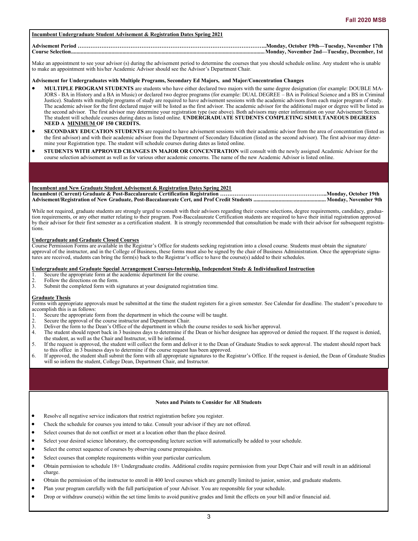#### **Incumbent Undergraduate Student Advisement & Registration Dates Spring 2021**

#### **Advisement Period …………………………………………………………………………………………..Monday, October 19th—Tuesday, November 17th Course Selection...........................................................................................................................................Monday, November 2nd—Tuesday, December, 1st**

Make an appointment to see your advisor (s) during the advisement period to determine the courses that you should schedule online. Any student who is unable to make an appointment with his/her Academic Advisor should see the Advisor's Department Chair.

#### **Advisement for Undergraduates with Multiple Programs, Secondary Ed Majors, and Major/Concentration Changes**

- **MULTIPLE PROGRAM STUDENTS** are students who have either declared two majors with the same degree designation (for example: DOUBLE MA-JORS - BA in History and a BA in Music) or declared two degree programs (for example: DUAL DEGREE – BA in Political Science and a BS in Criminal Justice). Students with multiple programs of study are required to have advisement sessions with the academic advisors from each major program of study. The academic advisor for the first declared major will be listed as the first advisor. The academic advisor for the additional major or degree will be listed as the second advisor. The first advisor may determine your registration type (see above). Both advisors may enter information on your Advisement Screen. The student will schedule courses during dates as listed online. **UNDERGRADUATE STUDENTS COMPLETING SIMULTANEOUS DEGREES NEED A MINIMUM OF 150 CREDITS.**
- **SECONDARY EDUCATION STUDENTS** are required to have advisement sessions with their academic advisor from the area of concentration (listed as the first advisor) and with their academic advisor from the Department of Secondary Education (listed as the second advisor). The first advisor may determine your Registration type. The student will schedule courses during dates as listed online.
- **STUDENTS WITH APPROVED CHANGES IN MAJOR OR CONCENTRATION** will consult with the newly assigned Academic Advisor for the course selection advisement as well as for various other academic concerns. The name of the new Academic Advisor is listed online.

#### **Incumbent and New Graduate Student Advisement & Registration Dates Spring 2021**

**Incumbent (Current) Graduate & Post-Baccalaureate Certification Registration …………………………………………………..Monday, October 19th Advisement/Registration of New Graduate, Post-Baccalaureate Cert, and Prof Credit Students ....................................................Monday, November 9th**

While not required, graduate students are strongly urged to consult with their advisors regarding their course selections, degree requirements, candidacy, graduation requirements, or any other matter relating to their program. Post-Baccalaureate Certification students are required to have their initial registration approved by their advisor for their first semester as a certification student. It is strongly recommended that consultation be made with their advisor for subsequent registrations.

### **Undergraduate and Graduate Closed Courses**

Course Permission Forms are available in the Registrar's Office for students seeking registration into a closed course. Students must obtain the signature/ approval of the instructor, and in the College of Business, these forms must also be signed by the chair of Business Administration. Once the appropriate signatures are received, students can bring the form(s) back to the Registrar's office to have the course(s) added to their schedules.

#### **Undergraduate and Graduate Special Arrangement Courses-Internship, Independent Study & Individualized Instruction**

- 1. Secure the appropriate form at the academic department for the course.<br>
2. Follow the directions on the form.<br>
3. Submit the completed form with signatures at your designated registrations
- Follow the directions on the form.
- Submit the completed form with signatures at your designated registration time.

#### **Graduate Thesis**

Forms with appropriate approvals must be submitted at the time the student registers for a given semester. See Calendar for deadline. The student's procedure to accomplish this is as follows:

- Secure the appropriate form from the department in which the course will be taught.
- 2. Secure the approval of the course instructor and Department Chair.<br>3. Deliver the form to the Dean's Office of the department in which the
- Deliver the form to the Dean's Office of the department in which the course resides to seek his/her approval.
- 4. The student should report back in 3 business days to determine if the Dean or his/her designee has approved or denied the request. If the request is denied, the student, as well as the Chair and Instructor, will be informed.
- 5. If the request is approved, the student will collect the form and deliver it to the Dean of Graduate Studies to seek approval. The student should report back to this office in 3 business days to determine if the course request has been approved.
- 6. If approved, the student shall submit the form with all appropriate signatures to the Registrar's Office. If the request is denied, the Dean of Graduate Studies will so inform the student, College Dean, Department Chair, and Instructor.

#### **Notes and Points to Consider for All Students**

- Resolve all negative service indicators that restrict registration before you register.
- Check the schedule for courses you intend to take. Consult your advisor if they are not offered.
- Select courses that do not conflict or meet at a location other than the place desired.
- Select your desired science laboratory, the corresponding lecture section will automatically be added to your schedule.
- Select the correct sequence of courses by observing course prerequisites.
- Select courses that complete requirements within your particular curriculum.
- Obtain permission to schedule 18+ Undergraduate credits. Additional credits require permission from your Dept Chair and will result in an additional charge.
- Obtain the permission of the instructor to enroll in 400 level courses which are generally limited to junior, senior, and graduate students.
- Plan your program carefully with the full participation of your Advisor. You are responsible for your schedule.
- Drop or withdraw course(s) within the set time limits to avoid punitive grades and limit the effects on your bill and/or financial aid.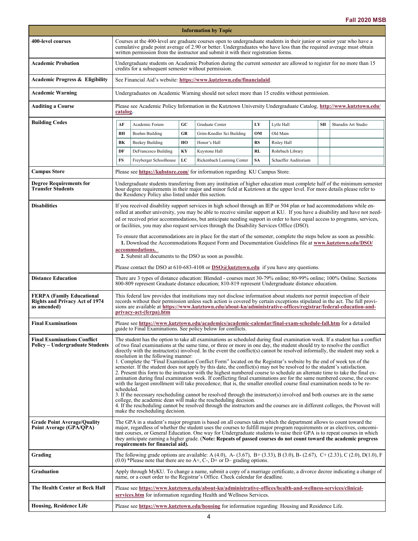<span id="page-3-0"></span>

| <b>Information by Topic</b>                                                              |                                                                                                                                                                                                                                                                                                                                                                                                                                                                                                                                                                                                                                                                                                                                                                                                                                                                                                                                                                                                                                                                                                                                                                                                                                                                                                                                                                                                                                                       |                                                                                                                                                                                    |    |                                                                                                                                                                                                                                                     |           |                      |    |                     |
|------------------------------------------------------------------------------------------|-------------------------------------------------------------------------------------------------------------------------------------------------------------------------------------------------------------------------------------------------------------------------------------------------------------------------------------------------------------------------------------------------------------------------------------------------------------------------------------------------------------------------------------------------------------------------------------------------------------------------------------------------------------------------------------------------------------------------------------------------------------------------------------------------------------------------------------------------------------------------------------------------------------------------------------------------------------------------------------------------------------------------------------------------------------------------------------------------------------------------------------------------------------------------------------------------------------------------------------------------------------------------------------------------------------------------------------------------------------------------------------------------------------------------------------------------------|------------------------------------------------------------------------------------------------------------------------------------------------------------------------------------|----|-----------------------------------------------------------------------------------------------------------------------------------------------------------------------------------------------------------------------------------------------------|-----------|----------------------|----|---------------------|
| 400-level courses                                                                        | Courses at the 400-level are graduate courses open to undergraduate students in their junior or senior year who have a<br>cumulative grade point average of 2.90 or better. Undergraduates who have less than the required average must obtain<br>written permission from the instructor and submit it with their registration forms.                                                                                                                                                                                                                                                                                                                                                                                                                                                                                                                                                                                                                                                                                                                                                                                                                                                                                                                                                                                                                                                                                                                 |                                                                                                                                                                                    |    |                                                                                                                                                                                                                                                     |           |                      |    |                     |
| <b>Academic Probation</b>                                                                | Undergraduate students on Academic Probation during the current semester are allowed to register for no more than 15<br>credits for a subsequent semester without permission.                                                                                                                                                                                                                                                                                                                                                                                                                                                                                                                                                                                                                                                                                                                                                                                                                                                                                                                                                                                                                                                                                                                                                                                                                                                                         |                                                                                                                                                                                    |    |                                                                                                                                                                                                                                                     |           |                      |    |                     |
| <b>Academic Progress &amp; Eligibility</b>                                               |                                                                                                                                                                                                                                                                                                                                                                                                                                                                                                                                                                                                                                                                                                                                                                                                                                                                                                                                                                                                                                                                                                                                                                                                                                                                                                                                                                                                                                                       |                                                                                                                                                                                    |    | See Financial Aid's website: https://www.kutztown.edu/financialaid.                                                                                                                                                                                 |           |                      |    |                     |
| Academic Warning                                                                         |                                                                                                                                                                                                                                                                                                                                                                                                                                                                                                                                                                                                                                                                                                                                                                                                                                                                                                                                                                                                                                                                                                                                                                                                                                                                                                                                                                                                                                                       |                                                                                                                                                                                    |    | Undergraduates on Academic Warning should not select more than 15 credits without permission.                                                                                                                                                       |           |                      |    |                     |
| <b>Auditing a Course</b>                                                                 |                                                                                                                                                                                                                                                                                                                                                                                                                                                                                                                                                                                                                                                                                                                                                                                                                                                                                                                                                                                                                                                                                                                                                                                                                                                                                                                                                                                                                                                       | Please see Academic Policy Information in the Kutztown University Undergraduate Catalog, http://www.kutztown.edu/<br>catalog.                                                      |    |                                                                                                                                                                                                                                                     |           |                      |    |                     |
| <b>Building Codes</b>                                                                    | AF                                                                                                                                                                                                                                                                                                                                                                                                                                                                                                                                                                                                                                                                                                                                                                                                                                                                                                                                                                                                                                                                                                                                                                                                                                                                                                                                                                                                                                                    | Academic Forum                                                                                                                                                                     | GC | Graduate Center                                                                                                                                                                                                                                     | LY        | Lytle Hall           | SH | Sharadin Art Studio |
|                                                                                          | BH                                                                                                                                                                                                                                                                                                                                                                                                                                                                                                                                                                                                                                                                                                                                                                                                                                                                                                                                                                                                                                                                                                                                                                                                                                                                                                                                                                                                                                                    | Boehm Building                                                                                                                                                                     | GR | Grim-Knedler Sci Building                                                                                                                                                                                                                           | OM        | Old Main             |    |                     |
|                                                                                          | BK                                                                                                                                                                                                                                                                                                                                                                                                                                                                                                                                                                                                                                                                                                                                                                                                                                                                                                                                                                                                                                                                                                                                                                                                                                                                                                                                                                                                                                                    | <b>Beekey Building</b>                                                                                                                                                             | HO | Honor's Hall                                                                                                                                                                                                                                        | <b>RS</b> | Risley Hall          |    |                     |
|                                                                                          | DF                                                                                                                                                                                                                                                                                                                                                                                                                                                                                                                                                                                                                                                                                                                                                                                                                                                                                                                                                                                                                                                                                                                                                                                                                                                                                                                                                                                                                                                    | DeFrancesco Building                                                                                                                                                               | KY | Keystone Hall                                                                                                                                                                                                                                       | <b>RL</b> | Rohrbach Library     |    |                     |
|                                                                                          | FS                                                                                                                                                                                                                                                                                                                                                                                                                                                                                                                                                                                                                                                                                                                                                                                                                                                                                                                                                                                                                                                                                                                                                                                                                                                                                                                                                                                                                                                    | Freyberger Schoolhouse                                                                                                                                                             | LC | Rickenbach Learning Center                                                                                                                                                                                                                          | <b>SA</b> | Schaeffer Auditorium |    |                     |
|                                                                                          |                                                                                                                                                                                                                                                                                                                                                                                                                                                                                                                                                                                                                                                                                                                                                                                                                                                                                                                                                                                                                                                                                                                                                                                                                                                                                                                                                                                                                                                       |                                                                                                                                                                                    |    |                                                                                                                                                                                                                                                     |           |                      |    |                     |
| <b>Campus Store</b>                                                                      |                                                                                                                                                                                                                                                                                                                                                                                                                                                                                                                                                                                                                                                                                                                                                                                                                                                                                                                                                                                                                                                                                                                                                                                                                                                                                                                                                                                                                                                       |                                                                                                                                                                                    |    | Please see https://kubstore.com/ for information regarding KU Campus Store.                                                                                                                                                                         |           |                      |    |                     |
| <b>Degree Requirements for</b><br><b>Transfer Students</b>                               |                                                                                                                                                                                                                                                                                                                                                                                                                                                                                                                                                                                                                                                                                                                                                                                                                                                                                                                                                                                                                                                                                                                                                                                                                                                                                                                                                                                                                                                       | the Residency Policy also listed under this section.                                                                                                                               |    | Undergraduate students transferring from any institution of higher education must complete half of the minimum semester<br>hour degree requirements in their major and minor field at Kutztown at the upper level. For more details please refer to |           |                      |    |                     |
| <b>Disabilities</b>                                                                      | If you received disability support services in high school through an IEP or 504 plan or had accommodations while en-<br>rolled at another university, you may be able to receive similar support at KU. If you have a disability and have not need-<br>ed or received prior accommodations, but anticipate needing support in order to have equal access to programs, services,<br>or facilities, you may also request services through the Disability Services Office (DSO).<br>To ensure that accommodations are in place for the start of the semester, complete the steps below as soon as possible.<br>1. Download the Accommodations Request Form and Documentation Guidelines file at www.kutztown.edu/DSO/<br>accommodations.<br>2. Submit all documents to the DSO as soon as possible.                                                                                                                                                                                                                                                                                                                                                                                                                                                                                                                                                                                                                                                     |                                                                                                                                                                                    |    |                                                                                                                                                                                                                                                     |           |                      |    |                     |
|                                                                                          | Please contact the DSO at $610-683-4108$ or $DSO(a)$ kutztown.edu if you have any questions.                                                                                                                                                                                                                                                                                                                                                                                                                                                                                                                                                                                                                                                                                                                                                                                                                                                                                                                                                                                                                                                                                                                                                                                                                                                                                                                                                          |                                                                                                                                                                                    |    |                                                                                                                                                                                                                                                     |           |                      |    |                     |
| <b>Distance Education</b>                                                                | There are 3 types of distance education: Blended - courses meet 30-79% online; 80-99% online; 100% Online. Sections<br>800-809 represent Graduate distance education; 810-819 represent Undergraduate distance education.                                                                                                                                                                                                                                                                                                                                                                                                                                                                                                                                                                                                                                                                                                                                                                                                                                                                                                                                                                                                                                                                                                                                                                                                                             |                                                                                                                                                                                    |    |                                                                                                                                                                                                                                                     |           |                      |    |                     |
| <b>FERPA (Family Educational</b><br><b>Rights and Privacy Act of 1974</b><br>as amended) | This federal law provides that institutions may not disclose information about students nor permit inspection of their<br>records without their permission unless such action is covered by certain exceptions stipulated in the act. The full provi-<br>sions are available at https://www.kutztown.edu/about-ku/administrative-offices/registrar/federal-education-and-<br>privacy-act-(ferpa).htm                                                                                                                                                                                                                                                                                                                                                                                                                                                                                                                                                                                                                                                                                                                                                                                                                                                                                                                                                                                                                                                  |                                                                                                                                                                                    |    |                                                                                                                                                                                                                                                     |           |                      |    |                     |
| <b>Final Examinations</b>                                                                | Please see https://www.kutztown.edu/academics/academic-calendar/final-exam-schedule-fall.htm for a detailed<br>guide to Final Examinations. See policy below for conflicts.                                                                                                                                                                                                                                                                                                                                                                                                                                                                                                                                                                                                                                                                                                                                                                                                                                                                                                                                                                                                                                                                                                                                                                                                                                                                           |                                                                                                                                                                                    |    |                                                                                                                                                                                                                                                     |           |                      |    |                     |
| <b>Final Examinations Conflict</b><br><b>Policy – Undergraduate Students</b>             | The student has the option to take all examinations as scheduled during final examination week. If a student has a conflict<br>of two final examinations at the same time, or three or more in one day, the student should try to resolve the conflict<br>directly with the instructor(s) involved. In the event the conflict(s) cannot be resolved informally, the student may seek a<br>resolution in the following manner:<br>1. Complete the "Final Examination Conflict Form" located on the Registrar's website by the end of week ten of the<br>semester. If the student does not apply by this date, the conflict(s) may not be resolved to the student's satisfaction.<br>2. Present this form to the instructor with the highest numbered course to schedule an alternate time to take the final ex-<br>amination during final examination week. If conflicting final examinations are for the same numbered course, the course<br>with the largest enrollment will take precedence; that is, the smaller enrolled course final examination needs to be re-<br>scheduled.<br>3. If the necessary rescheduling cannot be resolved through the instructor(s) involved and both courses are in the same<br>college, the academic dean will make the rescheduling decision.<br>4. If the rescheduling cannot be resolved through the instructors and the courses are in different colleges, the Provost will<br>make the rescheduling decision. |                                                                                                                                                                                    |    |                                                                                                                                                                                                                                                     |           |                      |    |                     |
| <b>Grade Point Average/Quality</b><br>Point Average (GPA/QPA)                            | The GPA in a student's major program is based on all courses taken which the department allows to count toward the<br>major, regardless of whether the student uses the courses to fulfill major program requirements or as electives, concomi-<br>tant courses, or General Education. One way for Undergraduate students to raise their GPA is to repeat courses in which<br>they anticipate earning a higher grade. (Note: Repeats of passed courses do not count toward the academic progress<br>requirements for financial aid).                                                                                                                                                                                                                                                                                                                                                                                                                                                                                                                                                                                                                                                                                                                                                                                                                                                                                                                  |                                                                                                                                                                                    |    |                                                                                                                                                                                                                                                     |           |                      |    |                     |
| Grading                                                                                  |                                                                                                                                                                                                                                                                                                                                                                                                                                                                                                                                                                                                                                                                                                                                                                                                                                                                                                                                                                                                                                                                                                                                                                                                                                                                                                                                                                                                                                                       |                                                                                                                                                                                    |    | The following grade options are available: A (4.0), A- (3.67), B+ (3.33), B (3.0), B- (2.67), C+ (2.33), C (2.0), D(1.0), F<br>$(0.0)$ *Please note that there are no A+, C-, D+ or D– grading options.                                             |           |                      |    |                     |
| Graduation                                                                               | Apply through MyKU. To change a name, submit a copy of a marriage certificate, a divorce decree indicating a change of<br>name, or a court order to the Registrar's Office. Check calendar for deadline.                                                                                                                                                                                                                                                                                                                                                                                                                                                                                                                                                                                                                                                                                                                                                                                                                                                                                                                                                                                                                                                                                                                                                                                                                                              |                                                                                                                                                                                    |    |                                                                                                                                                                                                                                                     |           |                      |    |                     |
| The Health Center at Beck Hall                                                           |                                                                                                                                                                                                                                                                                                                                                                                                                                                                                                                                                                                                                                                                                                                                                                                                                                                                                                                                                                                                                                                                                                                                                                                                                                                                                                                                                                                                                                                       | Please see https://www.kutztown.edu/about-ku/administrative-offices/health-and-wellness-services/clinical-<br>services.htm for information regarding Health and Wellness Services. |    |                                                                                                                                                                                                                                                     |           |                      |    |                     |
| <b>Housing, Residence Life</b>                                                           | Please see https://www.kutztown.edu/housing for information regarding Housing and Residence Life.                                                                                                                                                                                                                                                                                                                                                                                                                                                                                                                                                                                                                                                                                                                                                                                                                                                                                                                                                                                                                                                                                                                                                                                                                                                                                                                                                     |                                                                                                                                                                                    |    |                                                                                                                                                                                                                                                     |           |                      |    |                     |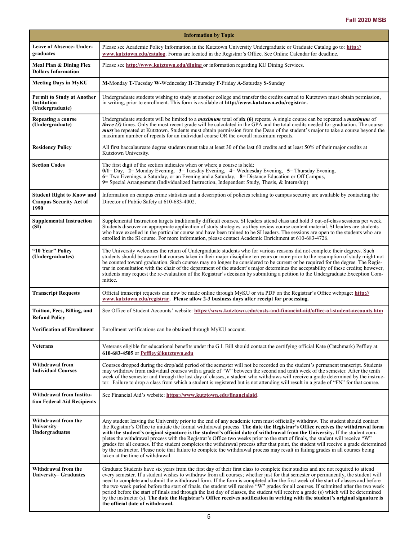<span id="page-4-0"></span>

| <b>Information by Topic</b>                                                |                                                                                                                                                                                                                                                                                                                                                                                                                                                                                                                                                                                                                                                                                                                                                                                                                                                                     |  |  |  |
|----------------------------------------------------------------------------|---------------------------------------------------------------------------------------------------------------------------------------------------------------------------------------------------------------------------------------------------------------------------------------------------------------------------------------------------------------------------------------------------------------------------------------------------------------------------------------------------------------------------------------------------------------------------------------------------------------------------------------------------------------------------------------------------------------------------------------------------------------------------------------------------------------------------------------------------------------------|--|--|--|
| <b>Leave of Absence- Under-</b><br>graduates                               | Please see Academic Policy Information in the Kutztown University Undergraduate or Graduate Catalog go to: http://<br>www.kutztown.edu/catalog. Forms are located in the Registrar's Office. See Online Calendar for deadline.                                                                                                                                                                                                                                                                                                                                                                                                                                                                                                                                                                                                                                      |  |  |  |
| Meal Plan & Dining Flex<br><b>Dollars Information</b>                      | Please see http://www.kutztown.edu/dining or information regarding KU Dining Services.                                                                                                                                                                                                                                                                                                                                                                                                                                                                                                                                                                                                                                                                                                                                                                              |  |  |  |
| <b>Meeting Days in MyKU</b>                                                | M-Monday T-Tuesday W-Wednesday H-Thursday F-Friday A-Saturday S-Sunday                                                                                                                                                                                                                                                                                                                                                                                                                                                                                                                                                                                                                                                                                                                                                                                              |  |  |  |
| <b>Permit to Study at Another</b><br><b>Institution</b><br>(Undergraduate) | Undergraduate students wishing to study at another college and transfer the credits earned to Kutztown must obtain permission,<br>in writing, prior to enrollment. This form is available at http://www.kutztown.edu/registrar.                                                                                                                                                                                                                                                                                                                                                                                                                                                                                                                                                                                                                                     |  |  |  |
| Repeating a course<br>(Undergraduate)                                      | Undergraduate students will be limited to a <i>maximum</i> total of six (6) repeats. A single course can be repeated a <i>maximum</i> of<br><i>three</i> $(3)$ times. Only the most recent grade will be calculated in the GPA and the total credits needed for graduation. The course<br><i>must</i> be repeated at Kutztown. Students must obtain permission from the Dean of the student's major to take a course beyond the<br>maximum number of repeats for an individual course OR the overall maximum repeats.                                                                                                                                                                                                                                                                                                                                               |  |  |  |
| <b>Residency Policy</b>                                                    | All first baccalaureate degree students must take at least 30 of the last 60 credits and at least 50% of their major credits at<br>Kutztown University.                                                                                                                                                                                                                                                                                                                                                                                                                                                                                                                                                                                                                                                                                                             |  |  |  |
| <b>Section Codes</b>                                                       | The first digit of the section indicates when or where a course is held:<br>$0/1 =$ Day, $2 =$ Monday Evening, $3 =$ Tuesday Evening, $4 =$ Wednesday Evening, $5 =$ Thursday Evening,<br>6 Two Evenings, a Saturday, or an Evening and a Saturday, 8 = Distance Education or Off Campus,<br>9 Special Arrangement (Individualized Instruction, Independent Study, Thesis, & Internship)                                                                                                                                                                                                                                                                                                                                                                                                                                                                            |  |  |  |
| <b>Student Right to Know and</b><br><b>Campus Security Act of</b><br>1990  | Information on campus crime statistics and a description of policies relating to campus security are available by contacting the<br>Director of Public Safety at 610-683-4002.                                                                                                                                                                                                                                                                                                                                                                                                                                                                                                                                                                                                                                                                                      |  |  |  |
| <b>Supplemental Instruction</b><br>(SI)                                    | Supplemental Instruction targets traditionally difficult courses. SI leaders attend class and hold 3 out-of-class sessions per week.<br>Students discover an appropriate application of study strategies as they review course content material. SI leaders are students<br>who have excelled in the particular course and have been trained to be SI leaders. The sessions are open to the students who are<br>enrolled in the SI course. For more information, please contact Academic Enrichment at 610-683-4726.                                                                                                                                                                                                                                                                                                                                                |  |  |  |
| "10 Year" Policy<br>(Undergraduates)                                       | The University welcomes the return of Undergraduate students who for various reasons did not complete their degrees. Such<br>students should be aware that courses taken in their major discipline ten years or more prior to the resumption of study might not<br>be counted toward graduation. Such courses may no longer be considered to be current or be required for the degree. The Regis-<br>trar in consultation with the chair of the department of the student's major determines the acceptability of these credits; however,<br>students may request the re-evaluation of the Registrar's decision by submitting a petition to the Undergraduate Exception Com-<br>mittee.                                                                                                                                                                             |  |  |  |
| <b>Transcript Requests</b>                                                 | Official transcript requests can now be made online through MyKU or via PDF on the Registrar's Office webpage: http://<br>www.kutztown.edu/registrar. Please allow 2-3 business days after receipt for processing.                                                                                                                                                                                                                                                                                                                                                                                                                                                                                                                                                                                                                                                  |  |  |  |
| Tuition, Fees, Billing, and<br><b>Refund Policy</b>                        | See Office of Student Accounts' website: https://www.kutztown.edu/costs-and-financial-aid/office-of-student-accounts.htm                                                                                                                                                                                                                                                                                                                                                                                                                                                                                                                                                                                                                                                                                                                                            |  |  |  |
| <b>Verification of Enrollment</b>                                          | Enrollment verifications can be obtained through MyKU account.                                                                                                                                                                                                                                                                                                                                                                                                                                                                                                                                                                                                                                                                                                                                                                                                      |  |  |  |
| <b>Veterans</b>                                                            | Veterans eligible for educational benefits under the G.I. Bill should contact the certifying official Kate (Catchmark) Peffley at<br>610-683-4505 or Peffley@kutztown.edu                                                                                                                                                                                                                                                                                                                                                                                                                                                                                                                                                                                                                                                                                           |  |  |  |
| Withdrawal from<br><b>Individual Courses</b>                               | Courses dropped during the drop/add period of the semester will not be recorded on the student's permanent transcript. Students<br>may withdraw from individual courses with a grade of "W" between the second and tenth week of the semester. After the tenth<br>week of the semester and through the last day of classes, a student who withdraws will receive a grade determined by the instruc-<br>tor. Failure to drop a class from which a student is registered but is not attending will result in a grade of "FN" for that course.                                                                                                                                                                                                                                                                                                                         |  |  |  |
| <b>Withdrawal from Institu-</b><br>tion Federal Aid Recipients             | See Financial Aid's website: https://www.kutztown.edu/financialaid.                                                                                                                                                                                                                                                                                                                                                                                                                                                                                                                                                                                                                                                                                                                                                                                                 |  |  |  |
| Withdrawal from the<br>University-<br><b>Undergraduates</b>                | Any student leaving the University prior to the end of any academic term must officially withdraw. The student should contact<br>the Registrar's Office to initiate the formal withdrawal process. The date the Registrar's Office receives the withdrawal form<br>with the student's original signature is the student's official date of withdrawal from the University. If the student com-<br>pletes the withdrawal process with the Registrar's Office two weeks prior to the start of finals, the student will receive "W"<br>grades for all courses. If the student completes the withdrawal process after that point, the student will receive a grade determined<br>by the instructor. Please note that failure to complete the withdrawal process may result in failing grades in all courses being<br>taken at the time of withdrawal.                   |  |  |  |
| Withdrawal from the<br><b>University– Graduates</b>                        | Graduate Students have six years from the first day of their first class to complete their studies and are not required to attend<br>every semester. If a student wishes to withdraw from all courses; whether just for that semester or permanently, the student will<br>need to complete and submit the withdrawal form. If the form is completed after the first week of the start of classes and before<br>the two week period before the start of finals, the student will receive "W" grades for all courses. If submitted after the two week<br>period before the start of finals and through the last day of classes, the student will receive a grade (s) which will be determined<br>by the instructor (s). The date the Registrar's Office receives notification in writing with the student's original signature is<br>the official date of withdrawal. |  |  |  |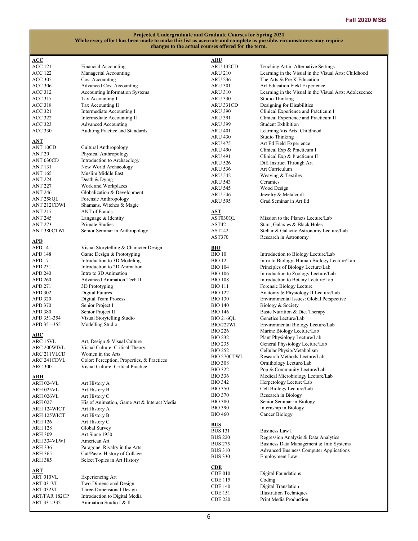| ACC            |                                             | <u>ARU</u>       |                                                        |
|----------------|---------------------------------------------|------------------|--------------------------------------------------------|
| ACC 121        | Financial Accounting                        | ARU 132CD        | Teaching Art in Alternative Settings                   |
| ACC 122        | Managerial Accounting                       | <b>ARU 210</b>   | Learning in the Visual in the Visual Arts: Childhood   |
| <b>ACC 305</b> | Cost Accounting                             | <b>ARU 236</b>   | The Arts & Pre-K Education                             |
| ACC 306        | <b>Advanced Cost Accounting</b>             | <b>ARU 301</b>   | Art Education Field Experience                         |
| ACC 312        | Accounting Information Systems              | ARU 310          | Learning in the Visual in the Visual Arts: Adolescence |
|                |                                             |                  |                                                        |
| ACC 317        | Tax Accounting I                            | ARU 330          | Studio Thinking                                        |
| ACC 318        | Tax Accounting II                           | ARU 331CD        | Designing for Disabilities                             |
| <b>ACC 321</b> | Intermediate Accounting I                   | <b>ARU 390</b>   | Clinical Experience and Practicum I                    |
| <b>ACC 322</b> | Intermediate Accounting II                  | <b>ARU 391</b>   | Clinical Experience and Practicum II                   |
| ACC 323        | <b>Advanced Accounting</b>                  | <b>ARU 399</b>   | <b>Student Exhibition</b>                              |
| <b>ACC 330</b> | Auditing Practice and Standards             | <b>ARU 401</b>   | Learning Vis Arts: Childhood                           |
|                |                                             | <b>ARU 430</b>   | Studio Thinking                                        |
| <u>ANT</u>     |                                             | ARU 475          | Art Ed Field Experience                                |
| ANT 10CD       | Cultural Anthropology                       | <b>ARU 490</b>   |                                                        |
| <b>ANT 20</b>  | Physical Anthropology                       |                  | Clinical Exp & Practicum I                             |
| ANT 030CD      | Introduction to Archaeology                 | ARU 491          | Clinical Exp & Practicum II                            |
| ANT 131        |                                             | <b>ARU 526</b>   | Diff Instruct Through Art                              |
|                | New World Archaeology                       | <b>ARU 536</b>   | Art Curriculum                                         |
| <b>ANT 165</b> | Muslim Middle East                          | <b>ARU 542</b>   | Weaving & Textiles                                     |
| <b>ANT 224</b> | Death & Dying                               | <b>ARU 543</b>   | Ceramics                                               |
| <b>ANT 227</b> | Work and Workplaces                         | <b>ARU 545</b>   | Wood Design                                            |
| <b>ANT 246</b> | Globalization & Development                 | ARU 546          | Jewelry & Metalcraft                                   |
| ANT 258QL      | Forensic Anthropology                       | ARU 595          | Grad Seminar in Art Ed                                 |
| ANT 212CDWI    | Shamans, Witches & Magic                    |                  |                                                        |
| <b>ANT 217</b> | ANT of Frauds                               | <b>AST</b>       |                                                        |
| <b>ANT 245</b> | Language & Identity                         | AST030QL         | Mission to the Planets Lecture/Lab                     |
|                |                                             |                  |                                                        |
| <b>ANT 273</b> | Primate Studies                             | AST42            | Stars, Galaxies & Black Holes                          |
| ANT 380CTWI    | Senior Seminar in Anthropology              | <b>AST142</b>    | Stellar & Galactic Astronomy Lecture/Lab               |
|                |                                             | AST370           | Research in Astronomy                                  |
| <u>APD</u>     |                                             |                  |                                                        |
| APD 141        | Visual Storytelling & Character Design      | <b>BIO</b>       |                                                        |
| APD 148        | Game Design & Prototyping                   | <b>BIO 10</b>    | Introduction to Biology Lecture/Lab                    |
| APD 171        | Introduction to 3D Modeling                 | <b>BIO 12</b>    | Intro to Biology; Human Biology Lecture/Lab            |
| APD 231        | Introduction to 2D Animation                | <b>BIO 104</b>   | Principles of Biology Lecture/Lab                      |
| <b>APD 240</b> | Intro to 3D Animation                       | <b>BIO 106</b>   | Introduction to Zoology Lecture/Lab                    |
| <b>APD 260</b> | Advanced Animation Tech II                  | <b>BIO 108</b>   | Introduction to Botany Lecture/Lab                     |
| APD 271        | 3D Prototyping                              | <b>BIO 111</b>   | Forensic Biology Lecture                               |
|                |                                             |                  |                                                        |
| APD 302        | Digital Futures                             | <b>BIO 122</b>   | Anatomy & Physiology II Lecture/Lab                    |
| APD 320        | Digital Team Process                        | <b>BIO 130</b>   | Environmental Issues: Global Perspective               |
| APD 370        | Senior Project I                            | <b>BIO 140</b>   | Biology & Society                                      |
| APD 380        | Senior Project II                           | <b>BIO 146</b>   | Basic Nutrition & Diet Therapy                         |
| APD 351-354    | Visual Storytelling Studio                  | BIO 216QL        | Genetics Lecture/Lab                                   |
| APD 351-355    | Modelling Studio                            | <b>BIO/222WI</b> | Environmental Biology Lecture/Lab                      |
|                |                                             | <b>BIO 226</b>   | Marine Biology Lecture/Lab                             |
| <u>ARC</u>     |                                             | <b>BIO 232</b>   | Plant Physiology Lecture/Lab                           |
| ARC 15VL       | Art, Design & Visual Culture                |                  |                                                        |
| ARC 200WIVL    | Visual Culture: Critical Theory             | <b>BIO 235</b>   | General Physiology Lecture/Lab                         |
| ARC 211VLCD    | Women in the Arts                           | <b>BIO 252</b>   | Cellular Physio/Metabolism                             |
| ARC 241CDVL    | Color: Perception, Properties, & Practices  | BIO 270CTWI      | Research Methods Lecture/Lab                           |
| <b>ARC 300</b> | Visual Culture: Critical Practice           | <b>BIO 308</b>   | Ornithology Lecture/Lab                                |
|                |                                             | <b>BIO 322</b>   | Pop & Community Lecture/Lab                            |
| <u>ARH</u>     |                                             | <b>BIO 336</b>   | Medical Microbiology Lecture/Lab                       |
| ARH 024VL      | Art History A                               | <b>BIO 342</b>   | Herpetology Lecture/Lab                                |
|                |                                             | <b>BIO 350</b>   | Cell Biology Lecture/Lab                               |
| ARH 025VL      | Art History B                               | <b>BIO 370</b>   | Research in Biology                                    |
| ARH 026VL      | Art History C                               |                  |                                                        |
| ARH 027        | His of Animation, Game Art & Interact Media | <b>BIO 380</b>   | Senior Seminar in Biology                              |
| ARH 124WICT    | Art History A                               | <b>BIO 390</b>   | Internship in Biology                                  |
| ARH 125WICT    | Art History B                               | <b>BIO 460</b>   | Cancer Biology                                         |
| ARH 126        | Art History C                               |                  |                                                        |
| <b>ARH 128</b> | Global Survey                               | <b>BUS</b>       |                                                        |
| ARH 309        | Art Since 1950                              | <b>BUS 131</b>   | <b>Business Law I</b>                                  |
|                |                                             | <b>BUS 220</b>   | Regression Analysis & Data Analytics                   |
| ARH 334VLWI    | American Art                                | <b>BUS 275</b>   | Business Data Management & Info Systems                |
| ARH 336        | Paragone: Rivalry in the Arts               | <b>BUS 310</b>   | <b>Advanced Business Computer Applications</b>         |
| <b>ARH 365</b> | Cut/Paste: History of Collage               | <b>BUS 330</b>   | <b>Employment Law</b>                                  |
| <b>ARH 385</b> | Select Topics in Art History                |                  |                                                        |
|                |                                             | CDE              |                                                        |
| ART            |                                             | CDE 010          | <b>Digital Foundations</b>                             |
| ART 010VL      | Experiencing Art                            | CDE 115          | Coding                                                 |
| ART 031VL      | Two-Dimensional Design                      | <b>CDE 140</b>   | Digital Translation                                    |
| ART 032VL      | Three-Dimensional Design                    |                  |                                                        |
| ART/FAR 182CP  | Introduction to Digital Media               | <b>CDE 151</b>   | <b>Illustration Techniques</b>                         |
| ART 331-332    | Animation Studio I & II                     | <b>CDE 220</b>   | Print Media Production                                 |
|                |                                             |                  |                                                        |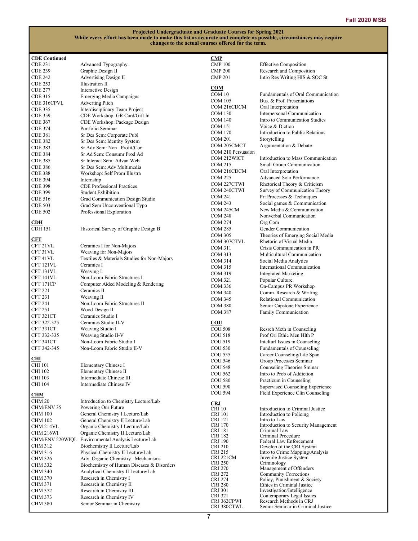| <b>CDE</b> Continued |                                                    | <u>CMP</u>         |                                                  |
|----------------------|----------------------------------------------------|--------------------|--------------------------------------------------|
| <b>CDE 231</b>       | Advanced Typography                                | <b>CMP 100</b>     | <b>Effective Composition</b>                     |
| <b>CDE 239</b>       | Graphic Design II                                  | <b>CMP 200</b>     | Research and Composition                         |
| CDE 242              | Advertising Design II                              | <b>CMP 201</b>     | Intro Res Writing HIS & SOC St                   |
| <b>CDE 253</b>       | Illustration II                                    |                    |                                                  |
|                      |                                                    | COM                |                                                  |
| <b>CDE 277</b>       | Interactive Design                                 | COM 10             | Fundamentals of Oral Communication               |
| <b>CDE 315</b>       | Emerging Media Campaigns                           | COM 105            | Bus. & Prof. Presentations                       |
| CDE 316CPVL          | <b>Adverting Pitch</b>                             |                    |                                                  |
| <b>CDE 335</b>       | Interdisciplinary Team Project                     | COM 216CDCM        | Oral Interpretation                              |
| CDE 359              | CDE Workshop: GR Card/Gift In                      | COM 130            | Interpersonal Communication                      |
| <b>CDE 367</b>       | CDE Workshop: Package Design                       | <b>COM 140</b>     | Intro to Communication Studies                   |
| <b>CDE 374</b>       | Portfolio Seminar                                  | COM 151            | Voice & Diction                                  |
| CDE 381              | Sr Des Sem: Corporate Publ                         | <b>COM 170</b>     | Introduction to Public Relations                 |
|                      |                                                    | <b>COM 201</b>     | Storytelling                                     |
| <b>CDE 382</b>       | Sr Des Sem: Identity System                        | COM 205CMCT        | Argumentation & Debate                           |
| CDE 383              | Sr Adv Sem: Non-Profit/Cor                         | COM 210 Persuasion |                                                  |
| <b>CDE 384</b>       | Sr Ad Sem: Consumr Prod Ad                         | COM 212WICT        | Introduction to Mass Communication               |
| <b>CDE 385</b>       | Sr Interact Sem: Advan Web                         |                    |                                                  |
| CDE 386              | Sr Des Sem: Adv Multimedia                         | COM 215            | Small Group Communication                        |
| <b>CDE 388</b>       | Workshop: Self Prom Illustra                       | COM 216CDCM        | Oral Interpretation                              |
| <b>CDE 394</b>       | Internship                                         | COM 225            | Advanced Solo Performance                        |
| <b>CDE 398</b>       | <b>CDE Professional Practices</b>                  | COM 227CTWI        | Rhetorical Theory & Criticism                    |
| <b>CDE 399</b>       | <b>Student Exhibition</b>                          | COM 240CTWI        | Survey of Communication Theory                   |
|                      |                                                    | COM 241            | Pr: Processes & Techniques                       |
| <b>CDE 516</b>       | Grad Communication Design Studio                   | COM 243            | Social games & Communication                     |
| <b>CDE 503</b>       | Grad Sem Unconventional Typo                       | COM 245CM          | New Media & Communication                        |
| <b>CDE 502</b>       | Professional Exploration                           |                    | Nonverbal Communication                          |
|                      |                                                    | <b>COM 248</b>     |                                                  |
| CDH                  |                                                    | COM 274            | Org Com                                          |
| <b>CDH</b> 151       | Historical Survey of Graphic Design B              | <b>COM 285</b>     | Gender Communication                             |
|                      |                                                    | COM 305            | Theories of Emerging Social Media                |
| <b>CFT</b>           |                                                    | COM 307CTVL        | Rhetoric of Visual Media                         |
| CFT 21VL             | Ceramics I for Non-Majors                          | COM 311            | Crisis Communication in PR                       |
| CFT 31VL             | Weaving for Non-Majors                             | COM 313            | Multicultural Communication                      |
| CFT 41VL             | Textiles & Materials Studies for Non-Majors        | COM 314            | Social Media Analytics                           |
| CFT 121VL            | Ceramics I                                         | COM 315            |                                                  |
| CFT 131VL            | Weaving I                                          |                    | International Communication                      |
| CFT 141VL            | Non-Loom Fabric Structures I                       | COM 319            | <b>Integrated Marketing</b>                      |
| CFT 171CP            | Computer Aided Modeling & Rendering                | COM 321            | Popular Culture                                  |
|                      |                                                    | <b>COM 336</b>     | On-Campus PR Workshop                            |
| <b>CFT 221</b>       | Ceramics II                                        | COM 340            | Comm. Research & Writing                         |
| <b>CFT 231</b>       | Weaving II                                         | COM 345            | Relational Communication                         |
| <b>CFT 241</b>       | Non-Loom Fabric Structures II                      | <b>COM 380</b>     | Senior Capstone Experience                       |
| <b>CFT 251</b>       | Wood Design II                                     | <b>COM 387</b>     | Family Communication                             |
| CFT 321CT            | Ceramics Studio I                                  |                    |                                                  |
| CFT 322-325          | Ceramics Studio II-V                               | $_{\rm COU}$       |                                                  |
| CFT 331CT            | Weaving Studio I                                   | <b>COU 508</b>     | Resrch Meth in Counseling                        |
| CFT 332-335          | Weaving Studio II-V                                | <b>COU 518</b>     | Prof Ori Ethic Men Hlth P                        |
| CFT 341CT            | Non-Loom Fabric Studio I                           | <b>COU 519</b>     | Intelturl Issues in Counseling                   |
|                      | Non-Loom Fabric Studio II-V                        |                    |                                                  |
| CFT 342-345          |                                                    | <b>COU 530</b>     | Fundamentals of Counseling                       |
| <u>СHI</u>           |                                                    | <b>COU 535</b>     | Career Counseling/Life Span                      |
|                      |                                                    | <b>COU 546</b>     | Group Processes Seminar                          |
| CHI 101              | Elementary Chinese I                               | <b>COU 548</b>     | Counseling Theories Sminar                       |
| CHI 102              | Elementary Chinese II                              | COU 562            | Intro to Prob of Addiction                       |
| CHI 103              | Intermediate Chinese III                           | <b>COU 580</b>     | Practicum in Counseling                          |
| CHI 104              | Intermediate Chinese IV                            | <b>COU 590</b>     | Supervised Counseling Experience                 |
|                      |                                                    | <b>COU 594</b>     | Field Experience Clin Counseling                 |
| CHM                  |                                                    |                    |                                                  |
| CHM 20               | Introduction to Chemistry Lecture/Lab              | <b>CRJ</b>         |                                                  |
| CHM/ENV 35           | Powering Our Future                                | CRJ10              | Introduction to Criminal Justice                 |
| <b>CHM 100</b>       | General Chemistry I Lecture/Lab                    | <b>CRJ</b> 101     | Introduction to Policing                         |
| <b>CHM 102</b>       | General Chemistry II Lecture/Lab                   | CRJ 121            | Intro to Law                                     |
| CHM 214VL            | Organic Chemistry I Lecture/Lab                    | <b>CRJ 170</b>     | Introduction to Security Management              |
| CHM 216WI            | Organic Chemistry II Lecture/Lab                   | CRJ 181            | Criminal Law                                     |
|                      |                                                    | CRJ 182            | Criminal Procedure                               |
|                      | CHM/ENV 220WIQL Environmental Analysis Lecture/Lab | CRJ 190            | Federal Law Enforcement                          |
| CHM 312              | Biochemistry II Lecture/Lab                        | CRJ 210            | Develop of the CRJ System                        |
| CHM 316              | Physical Chemistry II Lecture/Lab                  | CRJ 215            | Intro to Crime Mapping/Analysis                  |
| <b>CHM 326</b>       | Adv. Organic Chemistry-Mechanisms                  | CRJ 221CM          | Juvenile Justice System                          |
| CHM 332              | Biochemistry of Human Diseases & Disorders         | CRJ 250            | Criminology                                      |
| CHM 340              | Analytical Chemistry II Lecture/Lab                | CRJ 270            | Management of Offenders<br>Community Corrections |
| <b>CHM 370</b>       | Research in Chemistry I                            | CRJ 272<br>CRJ 274 | Policy, Punishment & Society                     |
| <b>CHM 371</b>       | Research in Chemistry II                           | <b>CRJ 280</b>     | Ethics in Criminal Justice                       |
| CHM 372              | Research in Chemistry III                          | CRJ 301            | Investigation/Intelligence                       |
|                      |                                                    | CRJ 321            | Contemporary Legal Issues                        |
| CHM 373              | Research in Chemistry IV                           | CRJ 362CPWI        | Research Methods in CRJ                          |
| <b>CHM 380</b>       | Senior Seminar in Chemistry                        | CRJ 380CTWL        | Senior Seminar in Criminal Justice               |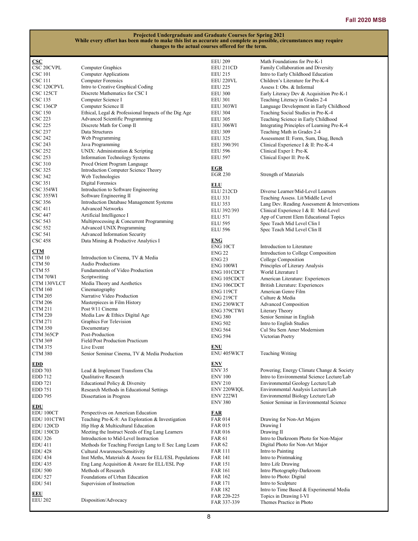| $\csc$            |                                                        | <b>EEU 209</b>        | Math Foundations for Pre-K-1                 |
|-------------------|--------------------------------------------------------|-----------------------|----------------------------------------------|
| <b>CSC 20CVPL</b> | Computer Graphics                                      | EEU 211CD             | Family Collaboration and Diversity           |
| CSC 101           | <b>Computer Applications</b>                           | <b>EEU 215</b>        | Intro to Early Childhood Education           |
| CSC 111           | <b>Computer Forensics</b>                              | EEU 220VL             | Children's Literature for Pre-K-4            |
| CSC 120CPVL       | Intro to Creative Graphical Coding                     |                       | Assess I: Obs. & Informal                    |
|                   |                                                        | <b>EEU 225</b>        |                                              |
| CSC 125CT         | Discrete Mathematics for CSC I                         | <b>EEU 300</b>        | Early Literacy Dev & Acquisition Pre-K-1     |
| CSC 135           | Computer Science I                                     | <b>EEU 301</b>        | Teaching Literacy in Grades 2-4              |
| CSC 136CP         | Computer Science II                                    | EEU 303WI             | Language Development in Early Childhood      |
| <b>CSC 150</b>    | Ethical, Legal & Professional Impacts of the Dig Age   | <b>EEU 304</b>        | Teaching Social Studies in Pre-K-4           |
| <b>CSC 223</b>    | Advanced Scientific Programming                        | <b>EEU 305</b>        | Teaching Science in Early Childhood          |
| CSC 225           | Discrete Math for Comp II                              | EEU 306WI             | Integrating Principles of Learning Pre-K-4   |
| CSC 237           | Data Structures                                        | <b>EEU 309</b>        | Teaching Math in Grades 2-4                  |
| <b>CSC 242</b>    |                                                        |                       |                                              |
|                   | Web Programming                                        | <b>EEU 325</b>        | Assessment II: Form, Sum, Diag, Bench        |
| <b>CSC 243</b>    | Java Programming                                       | EEU 390/391           | Clinical Experience I & II: Pre-K-4          |
| <b>CSC 252</b>    | UNIX: Administration & Scripting                       | <b>EEU 596</b>        | Clinical Exper I: Pre-K                      |
| <b>CSC 253</b>    | <b>Information Technology Systems</b>                  | <b>EEU 597</b>        | Clinical Exper II: Pre-K                     |
| <b>CSC 310</b>    | Procd Orient Program Language                          |                       |                                              |
| CSC 325           | Introduction Computer Science Theory                   | <b>EGR</b>            |                                              |
| CSC 342           | Web Technologies                                       | <b>EGR 230</b>        | Strength of Materials                        |
| CSC 351           | Digital Forensics                                      |                       |                                              |
|                   |                                                        | <b>ELU</b>            |                                              |
| CSC 354WI         | Introduction to Software Engineering                   | ELU <sub>212CD</sub>  | Diverse Learner/Mid-Level Learners           |
| CSC 355WI         | Software Engineering II                                | ELU 331               | Teaching Assess. Lit/Middle Level            |
| CSC 356           | Introduction Database Management Systems               | <b>ELU 353</b>        | Lang Dev. Reading Assessment & Interventions |
| CSC 411           | <b>Advanced Networks</b>                               | ELU 392/393           | Clinical Experience I & II: Mid-Level        |
| CSC 447           | Artificial Intelligence I                              |                       |                                              |
| CSC 543           | Multiprocessing & Concurrent Programming               | <b>ELU 571</b>        | App of Current Elem Educational Topics       |
| <b>CSC 552</b>    | Advanced UNIX Programming                              | <b>ELU 595</b>        | Spec Teach Mid Level Clin I                  |
|                   |                                                        | <b>ELU 596</b>        | Spec Teach Mid Level Clin II                 |
| CSC 541           | Advanced Information Security                          |                       |                                              |
| <b>CSC 458</b>    | Data Mining & Productive Analytics I                   | <b>ENG</b>            |                                              |
|                   |                                                        | ENG 10CT              | Introduction to Literature                   |
| CTM               |                                                        | <b>ENG 22</b>         | Introduction to College Composition          |
| CTM 10            | Introduction to Cinema, TV & Media                     | <b>ENG 23</b>         | College Composition                          |
| CTM <sub>50</sub> | <b>Audio Productions</b>                               | ENG 100WI             | Principles of Literary Analysis              |
| CTM 55            | Fundamentals of Video Production                       | ENG 101CDCT           | World Literature I                           |
| CTM 70WI          | Scriptwriting                                          |                       |                                              |
| CTM 130VLCT       | Media Theory and Aesthetics                            | ENG 105CDCT           | American Literature: Experiences             |
| CTM 160           | Cinematography                                         | ENG 106CDCT           | British Literature: Experiences              |
|                   |                                                        | ENG 119CT             | American Genre Film                          |
| <b>CTM 205</b>    | Narrative Video Production                             | ENG 219CT             | Culture & Media                              |
| <b>CTM 206</b>    | Masterpieces in Film History                           | ENG 230WICT           | <b>Advanced Composition</b>                  |
| CTM 211           | Post 9/11 Cinema                                       | ENG 379CTWI           | Literary Theory                              |
| <b>CTM 220</b>    | Media Law & Ethics Digital Age                         | <b>ENG 380</b>        | Senior Seminar in English                    |
| <b>CTM 271</b>    | Graphics For Television                                | <b>ENG 502</b>        |                                              |
| <b>CTM 350</b>    | Documentary                                            |                       | Intro to English Studies                     |
| CTM 365CP         | Post-Production                                        | <b>ENG 564</b>        | Cul Stu Sem Amer Modernism                   |
|                   |                                                        | <b>ENG 594</b>        | Victorian Poetry                             |
| <b>CTM 369</b>    | Field/Post Production Practicum                        |                       |                                              |
| <b>CTM 375</b>    | Live Event                                             | <b>ENU</b>            |                                              |
| <b>CTM 380</b>    | Senior Seminar Cinema, TV & Media Production           | <b>ENU 405WICT</b>    | <b>Teaching Writing</b>                      |
|                   |                                                        |                       |                                              |
| <b>EDD</b>        |                                                        | <b>ENV</b>            |                                              |
| <b>EDD 703</b>    | Lead & Implement Transform Cha                         | <b>ENV 35</b>         | Powering; Energy Climate Change & Society    |
| <b>EDD 712</b>    | Qualitative Research                                   | <b>ENV 100</b>        | Intro to Environmental Science Lecture/Lab   |
| EDD 721           | Educational Policy & Diversity                         | <b>ENV 210</b>        | Environmental Geology Lecture/Lab            |
| EDD 751           | Research Methods in Educational Settings               | ENV 220WIQL           | Environmental Analysis Lecture/Lab           |
| <b>EDD 795</b>    | Dissertation in Progress                               | ENV <sub>222</sub> WI | Environmental Biology Lecture/Lab            |
|                   |                                                        | <b>ENV 380</b>        | Senior Seminar in Environmental Science      |
| <b>EDU</b>        |                                                        |                       |                                              |
| EDU 100CT         | Perspectives on American Education                     | <u>FAR</u>            |                                              |
| EDU 101CTWI       | Teaching Pre-K-8: An Exploration & Investigation       | FAR 014               | Drawing for Non-Art Majors                   |
|                   |                                                        |                       |                                              |
| EDU 120CD         | Hip Hop & Multicultural Education                      | <b>FAR 015</b>        | Drawing I                                    |
| EDU 150CD         | Meeting the Instruct Needs of Eng Lang Learners        | <b>FAR 016</b>        | Drawing II                                   |
| <b>EDU 326</b>    | Introduction to Mid-Level Instruction                  | <b>FAR 61</b>         | Intro to Darkroom Photo for Non-Major        |
| <b>EDU 411</b>    | Methods for Teaching Foreign Lang to E Sec Lang Learn  | <b>FAR 62</b>         | Digital Photo for Non-Art Major              |
| <b>EDU 428</b>    | Cultural Awareness/Sensitivity                         | <b>FAR 111</b>        | Intro to Painting                            |
| <b>EDU 434</b>    | Inst Meths, Materials & Assess for ELL/ESL Populations | FAR 141               | Intro to Printmaking                         |
| <b>EDU 435</b>    | Eng Lang Acquisition & Aware for ELL/ESL Pop           | FAR 151               | Intro Life Drawing                           |
|                   |                                                        |                       |                                              |
| <b>EDU 500</b>    | Methods of Research                                    | <b>FAR 161</b>        | Intro Photography-Darkroom                   |
| <b>EDU 527</b>    | Foundations of Urban Education                         | <b>FAR 162</b>        | Intro to Photo: Digital                      |
| <b>EDU 541</b>    | Supervision of Instruction                             | <b>FAR 171</b>        | Intro to Sculpture                           |
|                   |                                                        | <b>FAR 182</b>        | Intro to Time Based & Experimental Media     |
| EEU               |                                                        | FAR 220-225           | Topics in Drawing I-VI                       |
| <b>EEU 202</b>    | Disposition/Advocacy                                   | FAR 337-339           | Themes Practice in Photo                     |
|                   |                                                        |                       |                                              |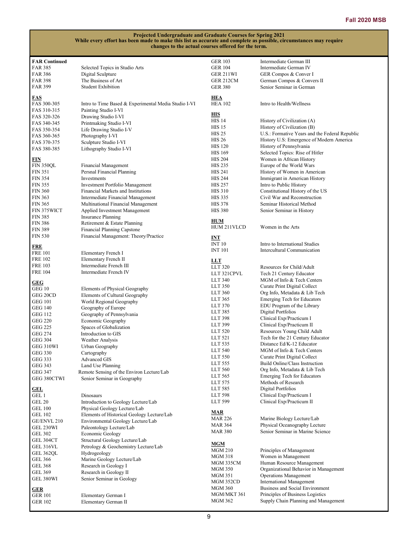| <b>FAR Continued</b>         |                                                      | <b>GER 103</b>            | Intermediate German III                                               |
|------------------------------|------------------------------------------------------|---------------------------|-----------------------------------------------------------------------|
| <b>FAR 385</b>               | Selected Topics in Studio Arts                       | <b>GER 104</b>            | Intermediate German IV                                                |
| <b>FAR 386</b>               | Digital Sculpture                                    | GER 211WI                 | GER Compos & Conver I                                                 |
| <b>FAR 398</b>               | The Business of Art                                  | GER 212CM                 | German Compos & Convers II                                            |
| <b>FAR 399</b>               | <b>Student Exhibition</b>                            | <b>GER 380</b>            | Senior Seminar in German                                              |
|                              |                                                      |                           |                                                                       |
| <b>FAS</b>                   |                                                      | HEA                       |                                                                       |
| FAS 300-305                  | Intro to Time Based & Experimental Media Studio I-VI | <b>HEA 102</b>            | Intro to Health/Wellness                                              |
| FAS 310-315                  | Painting Studio I-VI                                 | <b>HIS</b>                |                                                                       |
| FAS 320-326                  | Drawing Studio I-VI                                  | <b>HIS 14</b>             | History of Civilization (A)                                           |
| FAS 340-345                  | Printmaking Studio I-VI                              | <b>HIS 15</b>             | History of Civilization (B)                                           |
| FAS 350-354                  | Life Drawing Studio I-V                              | <b>HIS 25</b>             | U.S.: Formative Years and the Federal Republic                        |
| FAS 360-365                  | Photography I-VI                                     | <b>HIS 26</b>             | History U.S: Emergence of Modern America                              |
| FAS 370-375                  | Sculpture Studio I-VI                                | <b>HIS 120</b>            | History of Pennsylvania                                               |
| FAS 380-385                  | Lithography Studio I-VI                              | <b>HIS 169</b>            | Selected Topics: Rise of Hitler                                       |
| <u>FIN</u>                   |                                                      | <b>HIS 204</b>            | Women in African History                                              |
| <b>FIN 350QL</b>             | Financial Management                                 | <b>HIS 235</b>            | Europe of the World Wars                                              |
| <b>FIN 351</b>               | Persnal Financial Planning                           | <b>HIS 241</b>            | History of Women in American                                          |
| <b>FIN 354</b>               | Investments                                          | <b>HIS 244</b>            | Immigrant in American History                                         |
| <b>FIN 355</b>               | <b>Investment Portfolio Management</b>               | <b>HIS 257</b>            | Intro to Public History                                               |
| <b>FIN 360</b>               | Financial Markets and Institutions                   | <b>HIS 310</b>            | Constitutional History of the US                                      |
| <b>FIN 363</b>               | Intermediate Financial Management                    | <b>HIS 335</b>            | Civil War and Reconstruction                                          |
| <b>FIN 365</b>               | Multinational Financial Management                   | <b>HIS 378</b>            | Seminar Historical Method                                             |
| FIN 375WICT                  | Applied Investment Management                        | <b>HIS 380</b>            | Senior Seminar in History                                             |
| <b>FIN 385</b>               | <b>Insurance Planning</b>                            |                           |                                                                       |
| <b>FIN 386</b>               | Retirement & Estate Planning                         | HUM                       |                                                                       |
| <b>FIN 389</b>               | Financial Planning Capstone                          | HUM 211VLCD               | Women in the Arts                                                     |
| <b>FIN 530</b>               | Financial Management: Theory/Practice                | INT                       |                                                                       |
|                              |                                                      | <b>INT 10</b>             | Intro to International Studies                                        |
| <b>FRE</b><br><b>FRE 101</b> |                                                      | <b>INT 101</b>            | Intercultural Communication                                           |
| <b>FRE 102</b>               | Elementary French I<br>Elementary French II          |                           |                                                                       |
| <b>FRE 103</b>               | Intermediate French III                              | <b>LLT</b>                |                                                                       |
| <b>FRE 104</b>               | Intermediate French IV                               | LLT 320                   | Resources for Child/Adult                                             |
|                              |                                                      | LLT 321CPVL               | Tech 21 Century Educator                                              |
| GEG                          |                                                      | LLT 340                   | MGM of Info & Tech Centers                                            |
| GEG 10                       | Elements of Physical Geography                       | LLT 350                   | Curate Print Digital Collect                                          |
| GEG 20CD                     | Elements of Cultural Geography                       | LLT 360                   | Org Info, Metadata & Lib Tech                                         |
| <b>GEG 101</b>               | World Regional Geography                             | LLT 365                   | <b>Emerging Tech for Educators</b>                                    |
| GEG 140                      | Geography of Europe                                  | LLT 370                   | EDU Program of the Library                                            |
| <b>GEG 112</b>               | Geography of Pennsylvania                            | LLT 385<br>LLT 398        | Digital Portfolios<br>Clinical Exp/Practicum I                        |
| <b>GEG 220</b>               | Economic Geography                                   | LLT 399                   | Clinical Exp/Practicum II                                             |
| <b>GEG 225</b>               | Spaces of Globalization                              | LLT 520                   | Resources Young Child Adult                                           |
| <b>GEG 274</b>               | Introduction to GIS                                  | LLT 521                   | Tech for the 21 Century Educator                                      |
| <b>GEG 304</b>               | Weather Analysis                                     | LLT 535                   | Distance Ed/K-12 Educator                                             |
| GEG 310WI                    | Urban Geography                                      | <b>LLT 540</b>            | MGM of Info & Tech Centers                                            |
| <b>GEG 330</b>               | Cartography                                          | LLT 550                   | Curate Print Digital Collect                                          |
| <b>GEG 333</b>               | <b>Advanced GIS</b>                                  | LLT 555                   | Build Online/Class Instruction                                        |
| GEG 343                      | Land Use Planning                                    | LLT 560                   | Org Info, Metadata & Lib Tech                                         |
| <b>GEG 347</b>               | Remote Sensing of the Environ Lecture/Lab            | LLT 565                   | <b>Emerging Tech for Educators</b>                                    |
| GEG 380CTWI                  | Senior Seminar in Geography                          | LLT 575                   | Methods of Research                                                   |
| <b>GEL</b>                   |                                                      | LLT 585                   | <b>Digital Portfolios</b>                                             |
| GEL 1                        | Dinosaurs                                            | LLT 598                   | Clinical Exp/Practicum I                                              |
| <b>GEL 20</b>                | Introduction to Geology Lecture/Lab                  | LLT 599                   | Clinical Exp/Practicum II                                             |
| <b>GEL 100</b>               | Physical Geology Lecture/Lab                         |                           |                                                                       |
| <b>GEL 102</b>               | Elements of Historical Geology Lecture/Lab           | <b>MAR</b>                |                                                                       |
| GE/ENVL 210                  | Environmental Geology Lecture/Lab                    | <b>MAR 226</b>            | Marine Biology Lecture/Lab                                            |
| <b>GEL 230WI</b>             | Paleontology Lecture/Lab                             | <b>MAR 364</b>            | Physical Oceanography Lecture                                         |
| <b>GEL 302</b>               | Economic Geology                                     | <b>MAR 380</b>            | Senior Seminar in Marine Science                                      |
| GEL 304CT                    | Structural Geology Lecture/Lab                       |                           |                                                                       |
| GEL 316VL                    | Petrology & Geochemistry Lecture/Lab                 | <b>MGM</b>                |                                                                       |
| GEL 362QL                    | Hydrogeology                                         | <b>MGM 210</b>            | Principles of Management                                              |
| GEL 366                      | Marine Geology Lecture/Lab                           | <b>MGM 318</b>            | Women in Management                                                   |
| <b>GEL 368</b>               | Research in Geology I                                | MGM 335CM                 | Human Resource Management                                             |
| <b>GEL 369</b>               | Research in Geology II                               | <b>MGM 350</b><br>MGM 351 | Organizational Behavior in Management<br><b>Operations Management</b> |
| GEL 380WI                    | Senior Seminar in Geology                            | MGM 352CD                 | <b>International Management</b>                                       |
|                              |                                                      | <b>MGM 360</b>            | Business and Social Environment                                       |
| <b>GER</b><br><b>GER 101</b> | Elementary German I                                  | MGM/MKT 361               | Principles of Business Logistics                                      |
| <b>GER 102</b>               | Elementary German II                                 | <b>MGM 362</b>            | Supply Chain Planning and Management                                  |
|                              |                                                      |                           |                                                                       |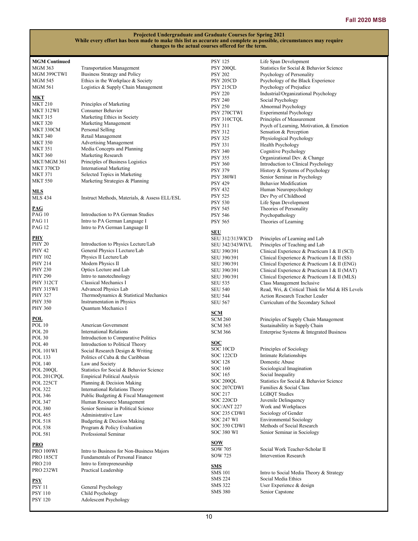| <b>MGM Continued</b>                         |                                               | <b>PSY 125</b>          | Life Span Development                           |
|----------------------------------------------|-----------------------------------------------|-------------------------|-------------------------------------------------|
| <b>MGM 363</b>                               | <b>Transportation Management</b>              | PSY 200QL               | Statistics for Social & Behavior Science        |
| MGM 399CTWI                                  | Business Strategy and Policy                  | <b>PSY 202</b>          | Psychology of Personality                       |
|                                              |                                               |                         |                                                 |
| MGM 545                                      | Ethics in the Workplace & Society             | PSY 205CD               | Psychology of the Black Experience              |
| <b>MGM 561</b>                               | Logistics & Supply Chain Management           | PSY 215CD               | Psychology of Prejudice                         |
|                                              |                                               | <b>PSY 220</b>          | Industrial/Organizational Psychology            |
| <b>MKT</b>                                   |                                               | <b>PSY 240</b>          | Social Psychology                               |
| <b>MKT 210</b>                               | Principles of Marketing                       | <b>PSY 250</b>          | Abnormal Psychology                             |
| MKT 312WI                                    | Consumer Behavior                             |                         |                                                 |
| <b>MKT 315</b>                               | Marketing Ethics in Society                   | PSY 270CTWI             | <b>Experimental Psychology</b>                  |
|                                              |                                               | PSY 310CTQL             | Principles of Measurement                       |
| <b>MKT 320</b>                               | Marketing Management                          | <b>PSY 311</b>          | Psych of Learning, Motivation, & Emotion        |
| MKT 330CM                                    | Personal Selling                              | <b>PSY 312</b>          | Sensation & Perception                          |
| <b>MKT 340</b>                               | Retail Management                             |                         | Physiological Psychology                        |
| <b>MKT 350</b>                               | <b>Advertising Management</b>                 | <b>PSY 325</b>          |                                                 |
|                                              | Media Concepts and Planning                   | <b>PSY 331</b>          | Health Psychology                               |
| <b>MKT 351</b>                               |                                               | <b>PSY 340</b>          | Cognitive Psychology                            |
| <b>MKT 360</b>                               | Marketing Research                            | <b>PSY 355</b>          | Organizational Dev. & Change                    |
| MKT/MGM 361                                  | Principles of Business Logistics              | <b>PSY 360</b>          | Introduction to Clinical Psychology             |
| MKT 370CD                                    | <b>International Marketing</b>                |                         |                                                 |
| <b>MKT 371</b>                               | Selected Topics in Marketing                  | <b>PSY 379</b>          | History & Systems of Psychology                 |
|                                              |                                               | PSY 380WI               | Senior Seminar in Psychology                    |
| <b>MKT 550</b>                               | Marketing Strategies & Planning               | <b>PSY 429</b>          | <b>Behavior Modification</b>                    |
|                                              |                                               | <b>PSY 432</b>          | Human Neuropsychology                           |
| <b>MLS</b>                                   |                                               |                         |                                                 |
| <b>MLS 434</b>                               | Instruct Methods, Materials, & Assess ELL/ESL | <b>PSY 525</b>          | Dev Psy of Childhood                            |
|                                              |                                               | <b>PSY 530</b>          | Life Span Development                           |
| $\underline{\mathbf{P}\mathbf{A}\mathbf{G}}$ |                                               | <b>PSY 545</b>          | Theories of Personality                         |
| <b>PAG 10</b>                                | Introduction to PA German Studies             | <b>PSY 546</b>          | Psychopathology                                 |
| <b>PAG 11</b>                                | Intro to PA German Language I                 | <b>PSY 565</b>          | Theories of Learning                            |
|                                              |                                               |                         |                                                 |
| <b>PAG 12</b>                                | Intro to PA German Language II                | <b>SEU</b>              |                                                 |
|                                              |                                               |                         |                                                 |
| PHY                                          |                                               | <b>SEU 312/313WICD</b>  | Principles of Learning and Lab                  |
| <b>PHY 20</b>                                | Introduction to Physics Lecture/Lab           | <b>SEU 342/343 WIVL</b> | Principles of Teaching and Lab                  |
| <b>PHY 42</b>                                | General Physics I Lecture/Lab                 | SEU 390/391             | Clinical Experience & Practicum I & II (SCI)    |
| PHY 102                                      | Physics II Lecture/Lab                        | SEU 390/391             | Clinical Experience & Practicum I & II (SS)     |
| PHY 214                                      | Modern Physics II                             |                         |                                                 |
|                                              |                                               | SEU 390/391             | Clinical Experience & Practicum I & II (ENG)    |
| <b>PHY 230</b>                               | Optics Lecture and Lab                        | SEU 390/391             | Clinical Experience & Practicum I & II (MAT)    |
| <b>PHY 290</b>                               | Intro to nanotechnology                       | SEU 390/391             | Clinical Experience & Practicum I & II (MLS)    |
| <b>PHY 312CT</b>                             | Classical Mechanics I                         | <b>SEU 535</b>          | Class Management Inclusive                      |
| <b>PHY 315WI</b>                             | Advanced Physics Lab                          |                         |                                                 |
|                                              |                                               | <b>SEU 540</b>          | Read, Wri, & Critical Think for Mid & HS Levels |
| <b>PHY 327</b>                               | Thermodynamics & Statistical Mechanics        | <b>SEU 544</b>          | Action Research Teacher Leader                  |
| <b>PHY 350</b>                               | Instrumentation in Physics                    | <b>SEU 567</b>          | Curriculum of the Secondary School              |
| <b>PHY 360</b>                               | Quantum Mechanics I                           |                         |                                                 |
|                                              |                                               | <b>SCM</b>              |                                                 |
| POL                                          |                                               | <b>SCM 260</b>          | Principles of Supply Chain Management           |
| <b>POL 10</b>                                | American Government                           | <b>SCM 365</b>          | Sustainability in Supply Chain                  |
| <b>POL 20</b>                                | <b>International Relations</b>                |                         |                                                 |
|                                              |                                               | <b>SCM 366</b>          | Enterprise Systems & Integrated Business        |
| <b>POL 30</b>                                | Introduction to Comparative Politics          |                         |                                                 |
| <b>POL 40</b>                                | Introduction to Political Theory              | <u>SOC</u>              |                                                 |
| <b>POL 101WI</b>                             | Social Research Design & Writing              | SOC 10CD                | Principles of Sociology                         |
| POL 133                                      | Politics of Cuba & the Caribbean              | SOC 122CD               | Intimate Relationships                          |
|                                              |                                               | SOC 128                 | Domestic Abuse                                  |
| <b>POL 140</b>                               | Law and Society                               | SOC 160                 | Sociological Imagination                        |
| POL 200QL                                    | Statistics for Social & Behavior Science      |                         |                                                 |
| POL 201CPQL                                  | <b>Empirical Political Analysis</b>           | SOC 165                 | Social Inequality                               |
| POL 225CT                                    | Planning & Decision Making                    | SOC 200QL               | Statistics for Social & Behavior Science        |
| <b>POL 322</b>                               | International Relations Theory                | SOC 207CDWI             | Families & Social Class                         |
|                                              |                                               | SOC 217                 | <b>LGBQT</b> Studies                            |
| POL 346                                      | Public Budgeting & Fiscal Management          |                         |                                                 |
| POL 347                                      | Human Resource Management                     | SOC 220CD               | Juvenile Delinquency                            |
| <b>POL 380</b>                               | Senior Seminar in Political Science           | SOC/ANT 227             | Work and Workplaces                             |
| POL 465                                      | Administrative Law                            | SOC 235 CDWI            | Sociology of Gender                             |
|                                              |                                               | <b>SOC 247 WI</b>       | Environmental Sociology                         |
| POL 518                                      | Budgeting & Decision Making                   |                         | Methods of Social Research                      |
| <b>POL 538</b>                               | Program & Policy Evaluation                   | SOC 350 CDWI            |                                                 |
| POL 581                                      | Professional Seminar                          | SOC 380 WI              | Senior Seminar in Sociology                     |
|                                              |                                               |                         |                                                 |
| <b>PRO</b>                                   |                                               | <u>sow</u>              |                                                 |
| PRO 100WI                                    | Intro to Business for Non-Business Majors     | SOW 705                 | Social Work Teacher-Scholar II                  |
|                                              |                                               | SOW 725                 | <b>Intervention Research</b>                    |
| <b>PRO 185CT</b>                             | <b>Fundamentals of Personal Finance</b>       |                         |                                                 |
| <b>PRO 210</b>                               | Intro to Entrepreneurship                     | <u>SMS</u>              |                                                 |
| PRO 232WI                                    | Practical Leadership                          | <b>SMS 101</b>          |                                                 |
|                                              |                                               |                         | Intro to Social Media Theory & Strategy         |
| PSY                                          |                                               | <b>SMS 224</b>          | Social Media Ethics                             |
| <b>PSY 11</b>                                | General Psychology                            | <b>SMS 322</b>          | User Experience & design                        |
| <b>PSY 110</b>                               |                                               | <b>SMS 380</b>          | Senior Capstone                                 |
|                                              | Child Psychology                              |                         |                                                 |
| <b>PSY 120</b>                               | Adolescent Psychology                         |                         |                                                 |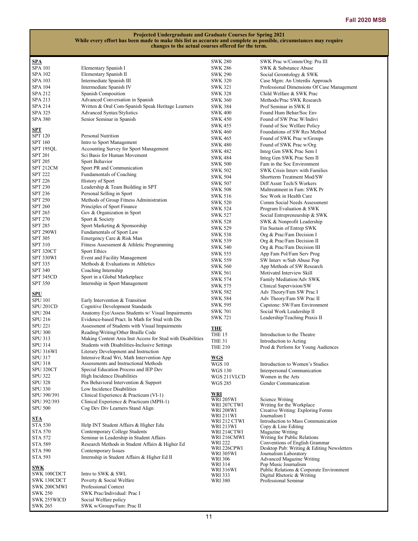| <b>SPA</b>                       |                                                                                    | <b>SWK 280</b>                   | SWK Prac w/Comm/Org: Pra III                                   |
|----------------------------------|------------------------------------------------------------------------------------|----------------------------------|----------------------------------------------------------------|
| <b>SPA 101</b>                   | Elementary Spanish I                                                               | <b>SWK 286</b>                   | SWK & Substance Abuse                                          |
| <b>SPA 102</b>                   | Elementary Spanish II                                                              | <b>SWK 290</b>                   | Social Gerontology & SWK                                       |
| SPA 103                          | Intermediate Spanish III                                                           | <b>SWK 320</b>                   | Case Mgm: An Unterdis Approach                                 |
| SPA 104                          | Intermediate Spanish IV                                                            | <b>SWK 321</b>                   | Professional Dimensions Of Case Management                     |
| <b>SPA 212</b>                   | Spanish Composition                                                                | <b>SWK 328</b>                   | Child Welfare & SWK Prac                                       |
| SPA 213                          | Advanced Conversation in Spanish                                                   | <b>SWK 360</b>                   | Methods/Prac SWK Research                                      |
| SPA 214                          | Written & Oral Com-Spanish Speak Heritage Learners                                 | <b>SWK 384</b>                   | Prof Seminar in SWK II                                         |
| SPA 325<br><b>SPA 380</b>        | Advanced Syntax/Stylistics<br>Senior Seminar in Spanish                            | <b>SWK 400</b><br><b>SWK 450</b> | Found Hum Behar/Soc Env<br>Found of SW Prac W/Indivi           |
|                                  |                                                                                    | SWK 455                          | Found of Soc Welfare Policy                                    |
| <b>SPT</b>                       |                                                                                    | <b>SWK 460</b>                   | Foundations of SW Res Method                                   |
| <b>SPT 120</b>                   | <b>Personal Nutrition</b>                                                          | <b>SWK 465</b>                   | Found of SWK Prac w/Groups                                     |
| <b>SPT 160</b>                   | Intro to Sport Management                                                          | <b>SWK 480</b>                   | Found of SWK Prac w/Org                                        |
| <b>SPT 195OL</b>                 | Accounting Survey for Sport Management                                             | <b>SWK 482</b>                   | Integ Gen SWK Prac Sem I                                       |
| <b>SPT 201</b>                   | Sci Basis for Human Movement                                                       | <b>SWK 484</b>                   | Integ Gen SWK Prac Sem II                                      |
| <b>SPT 205</b>                   | Sport Behavior                                                                     | <b>SWK 500</b>                   | Fam in the Soc Environment                                     |
| SPT 212CM                        | Sport PR and Communication                                                         | <b>SWK 502</b>                   | SWK Crisis Interv with Families                                |
| <b>SPT 222</b><br><b>SPT 226</b> | Fundamentals of Coaching                                                           | <b>SWK 504</b>                   | Shortterm Treatment Mod/SW                                     |
| <b>SPT 230</b>                   | History of Sport<br>Leadership & Team Building in SPT                              | <b>SWK 507</b>                   | Diff Assnt Tech/S Workers                                      |
| SPT 236                          | Personal Selling in Sport                                                          | <b>SWK 508</b>                   | Maltreatment in Fam: SWK Pr                                    |
| <b>SPT 250</b>                   | Methods of Group Fitness Administration                                            | <b>SWK 516</b>                   | Soc Work in Health Care                                        |
| <b>SPT 260</b>                   | Principles of Sport Finance                                                        | <b>SWK 520</b>                   | Comm Social Needs Assessment                                   |
| <b>SPT 265</b>                   | Gov & Organization in Sport                                                        | <b>SWK 524</b>                   | Program Evaluation & SWK                                       |
| <b>SPT 270</b>                   | Sport & Society                                                                    | <b>SWK 527</b>                   | Social Entrepreneurship & SWK                                  |
| <b>SPT 285</b>                   | Sport Marketing & Sponsorship                                                      | SWK 528<br>SWK 529               | SWK & Nonprofit Leadership<br>Fin Sustain of Entrep SWK        |
| SPT 290WI                        | Fundamentals of Sport Law                                                          | <b>SWK 538</b>                   | Org & Prac/Fam Decision I                                      |
| <b>SPT 305</b>                   | Emergency Care & Risk Man                                                          | <b>SWK 539</b>                   | Org & Prac/Fam Decision II                                     |
| <b>SPT 310</b>                   | Fitness Assessment & Athletic Programming                                          | <b>SWK 540</b>                   | Org & Prac/Fam Decision III                                    |
| SPT 320CT                        | <b>Sport Ethics</b>                                                                | SWK 555                          | App Fam Pol/Fam Serv Prog                                      |
| SPT 330WI                        | Event and Facility Management                                                      | <b>SWK 559</b>                   | SW Interv w/Sub Abuse Pop                                      |
| <b>SPT 335</b>                   | Methods & Evaluations in Athletics                                                 | <b>SWK 560</b>                   | App Methods of SW Research                                     |
| <b>SPT 340</b>                   | Coaching Internship                                                                | SWK 561                          | Motivatnl Interview Skill                                      |
| SPT 345CD                        | Sport in a Global Marketplace                                                      | <b>SWK 574</b>                   | Family Mediation/Adv SWK                                       |
| <b>SPT 350</b>                   | Internship in Sport Management                                                     | <b>SWK 575</b>                   | Clinical Supervision/SW                                        |
| <u>SPU</u>                       |                                                                                    | <b>SWK 582</b>                   | Adv Theory/Fam SW Prac I                                       |
| <b>SPU 101</b>                   | Early Intervention & Transition                                                    | <b>SWK 584</b>                   | Adv Theory/Fam SW Prac II                                      |
| SPU 201CD                        | Cognitive Development Standards                                                    | SWK 595                          | Capstone: SW/Fam Environment                                   |
| <b>SPU 204</b>                   | Anatomy Eye/Assess Students w/ Visual Impairments                                  | <b>SWK 701</b>                   | Social Work Leadership II                                      |
| <b>SPU 216</b>                   | Evidence-based Pract. In Math for Stud with Dis                                    | <b>SWK 721</b>                   | Leadership/Teaching Praxis II                                  |
| <b>SPU 221</b>                   | Assessment of Students with Visual Impairments                                     | <b>THE</b>                       |                                                                |
| <b>SPU 300</b>                   | Reading/Writing/Other Braille Code                                                 | THE 15                           | Introduction to the Theatre                                    |
| SPU 313                          | Making Content Area Inst Access for Stud with Disabilities                         | <b>THE 31</b>                    | Introduction to Acting                                         |
| <b>SPU 314</b>                   | Students with Disabilities-Inclusive Settings                                      | <b>THE 210</b>                   | Prod & Perform for Young Audiences                             |
| SPU 316WI                        | Literary Development and Instruction                                               |                                  |                                                                |
| SPU 317<br><b>SPU 318</b>        | Intensive Read Wri, Math Intervention App<br>Assessments and Instructional Methods | <b>WGS</b>                       |                                                                |
| SPU 320CT                        | Special Education Process and IEP Dev                                              | WGS 10<br><b>WGS 130</b>         | Introduction to Women's Studies<br>Interpersonal Communication |
| <b>SPU 322</b>                   | High Incidence Disabilities                                                        | WGS 211VLCD                      | Women in the Arts                                              |
| <b>SPU 328</b>                   | Pos Behavioral Intervention & Support                                              | <b>WGS 285</b>                   | Gender Communication                                           |
| <b>SPU 330</b>                   | Low Incidence Disabilities                                                         |                                  |                                                                |
| SPU 390/391                      | Clinical Experience & Practicum (VI-1)                                             | WRI                              |                                                                |
| SPU 392/393                      | Clinical Experience & Practicum (MPH-1)                                            | <b>WRI 205WI</b>                 | Science Writing                                                |
| <b>SPU 500</b>                   | Cog Dev Div Learners Stand Align                                                   | WRI 207CTWI<br><b>WRI 208WI</b>  | Writing for the Workplace<br>Creative Writing: Exploring Forms |
|                                  |                                                                                    | WRI 211WI                        | Journalism I                                                   |
| STA                              |                                                                                    | WRI 212 CTWI                     | Introduction to Mass Communication                             |
| <b>STA 530</b>                   | Help INT Student Affairs & Higher Edu<br>Contemporary College Students             | WRI 213WI                        | Copy & Line Editing                                            |
| STA 570<br><b>STA 572</b>        | Seminar in Leadership in Student Affairs                                           | WRI 214CTWI<br>WRI 216CMWI       | Magazine Writing<br>Writing for Public Relations               |
| <b>STA 589</b>                   | Research Methods in Student Affairs & Higher Ed                                    | WRI 222                          | Conventions of English Grammar                                 |
| <b>STA 590</b>                   | Contemporary Issues                                                                | WRI 226CPWI                      | Desktop Pub: Writing & Editing Newsletters                     |
| <b>STA 593</b>                   | Internship in Student Affairs & Higher Ed II                                       | WRI 305WI                        | Journalism Laboratory                                          |
|                                  |                                                                                    | <b>WRI 306</b><br><b>WRI 314</b> | Advanced Magazine Writing<br>Pop Music Journalism              |
| <b>SWK</b>                       |                                                                                    | WRI 316WI                        | Public Relations & Corporate Environment                       |
| SWK 100CDCT                      | Intro to SWK & SWL                                                                 | WRI 333                          | Digital Rhetoric & Writing                                     |
| SWK 130CDCT                      | Poverty & Social Welfare                                                           | <b>WRI380</b>                    | Professional Seminar                                           |
| SWK 200CMWI                      | Professional Context                                                               |                                  |                                                                |
| <b>SWK 250</b>                   | SWK Prac/Individual: Prac I                                                        |                                  |                                                                |
| SWK 255WICD                      | Social Welfare policy                                                              |                                  |                                                                |
| <b>SWK 265</b>                   | SWK w/Groups/Fam: Prac II                                                          |                                  |                                                                |